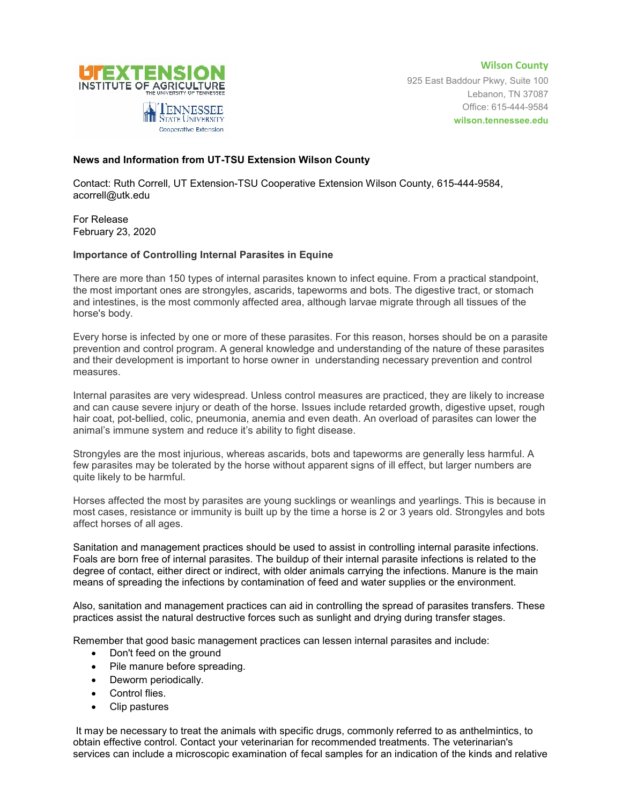

**Wilson County** 925 East Baddour Pkwy, Suite 100 Lebanon, TN 37087 Office: 615-444-9584 **wilson.tennessee.edu**

## **News and Information from UT-TSU Extension Wilson County**

Contact: Ruth Correll, UT Extension-TSU Cooperative Extension Wilson County, 615-444-9584, acorrell@utk.edu

For Release February 23, 2020

## **Importance of Controlling Internal Parasites in Equine**

There are more than 150 types of internal parasites known to infect equine. From a practical standpoint, the most important ones are strongyles, ascarids, tapeworms and bots. The digestive tract, or stomach and intestines, is the most commonly affected area, although larvae migrate through all tissues of the horse's body.

Every horse is infected by one or more of these parasites. For this reason, horses should be on a parasite prevention and control program. A general knowledge and understanding of the nature of these parasites and their development is important to horse owner in understanding necessary prevention and control measures.

Internal parasites are very widespread. Unless control measures are practiced, they are likely to increase and can cause severe injury or death of the horse. Issues include retarded growth, digestive upset, rough hair coat, pot-bellied, colic, pneumonia, anemia and even death. An overload of parasites can lower the animal's immune system and reduce it's ability to fight disease.

Strongyles are the most injurious, whereas ascarids, bots and tapeworms are generally less harmful. A few parasites may be tolerated by the horse without apparent signs of ill effect, but larger numbers are quite likely to be harmful.

Horses affected the most by parasites are young sucklings or weanlings and yearlings. This is because in most cases, resistance or immunity is built up by the time a horse is 2 or 3 years old. Strongyles and bots affect horses of all ages.

Sanitation and management practices should be used to assist in controlling internal parasite infections. Foals are born free of internal parasites. The buildup of their internal parasite infections is related to the degree of contact, either direct or indirect, with older animals carrying the infections. Manure is the main means of spreading the infections by contamination of feed and water supplies or the environment.

Also, sanitation and management practices can aid in controlling the spread of parasites transfers. These practices assist the natural destructive forces such as sunlight and drying during transfer stages.

Remember that good basic management practices can lessen internal parasites and include:

- Don't feed on the ground
- Pile manure before spreading.
- Deworm periodically.
- Control flies.
- Clip pastures

It may be necessary to treat the animals with specific drugs, commonly referred to as anthelmintics, to obtain effective control. Contact your veterinarian for recommended treatments. The veterinarian's services can include a microscopic examination of fecal samples for an indication of the kinds and relative